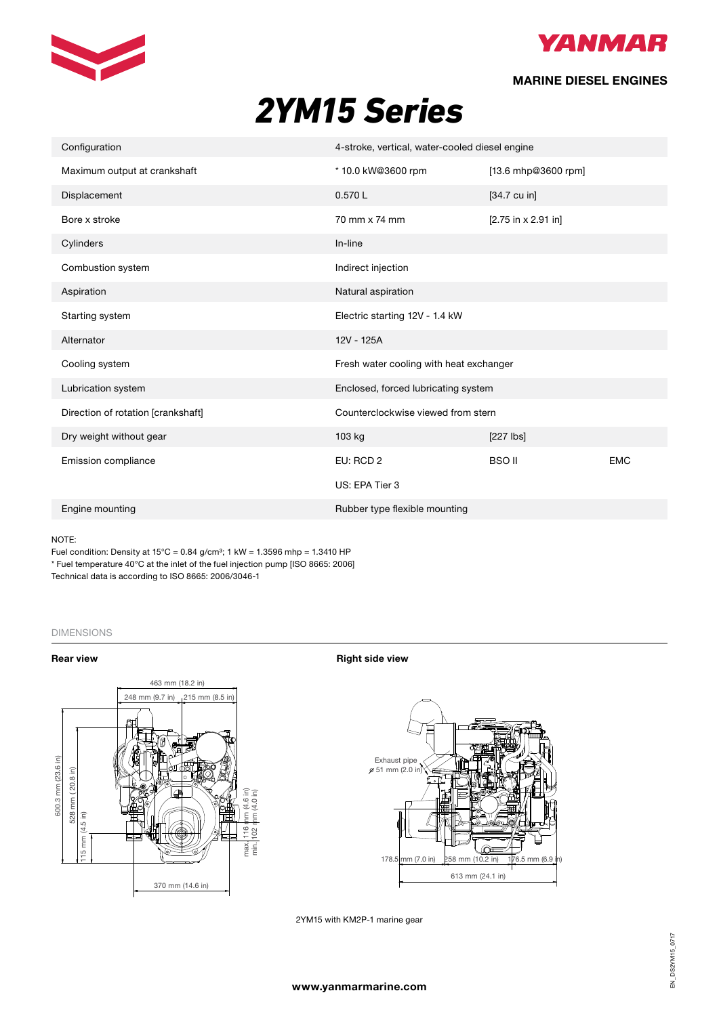



# **MARINE DIESEL ENGINES**

# **2YM15** Series *2YM15 Series*

| Configuration                      | 4-stroke, vertical, water-cooled diesel engine |                        |            |
|------------------------------------|------------------------------------------------|------------------------|------------|
| Maximum output at crankshaft       | * 10.0 kW@3600 rpm                             | [13.6 mhp@3600 rpm]    |            |
| Displacement                       | 0.570L                                         | $[34.7 \text{ cu in}]$ |            |
| Bore x stroke                      | 70 mm x 74 mm                                  | [2.75 in x 2.91 in]    |            |
| Cylinders                          | In-line                                        |                        |            |
| Combustion system                  | Indirect injection                             |                        |            |
| Aspiration                         | Natural aspiration                             |                        |            |
| Starting system                    | Electric starting 12V - 1.4 kW                 |                        |            |
| Alternator                         | 12V - 125A                                     |                        |            |
| Cooling system                     | Fresh water cooling with heat exchanger        |                        |            |
| Lubrication system                 | Enclosed, forced lubricating system            |                        |            |
| Direction of rotation [crankshaft] | Counterclockwise viewed from stern             |                        |            |
| Dry weight without gear            | 103 kg                                         | $[227$ $\sqrt{21}$     |            |
| Emission compliance                | EU: RCD 2                                      | <b>BSO II</b>          | <b>EMC</b> |
|                                    | US: EPA Tier 3                                 |                        |            |
| Engine mounting                    | Rubber type flexible mounting                  |                        |            |

## NOTE: Environmental EU RCD, BSO II, EPA TIER 3, EMC

Fuel condition: Density at  $15^{\circ}$ C = 0.84 g/cm<sup>3</sup>; 1 kW = 1.3596 mhp = 1.3410 HP ruel condition. Density at 15 O = 0.64 gronn, it www.etfl.compump [ISO 8665: 2006]<br>\* Fuel temperature 40°C at the inlet of the fuel injection pump [ISO 8665: 2006] Technical data is according to ISO 8665: 2006/3046-1

## DIMENSIONS Dimensions (For detailed line-drawings, please refer to our web-site: www.yanmarmarine.com)



**Rear view <b>Right** side view **Right** side view



2YM15 with KM2P-1 marine gear